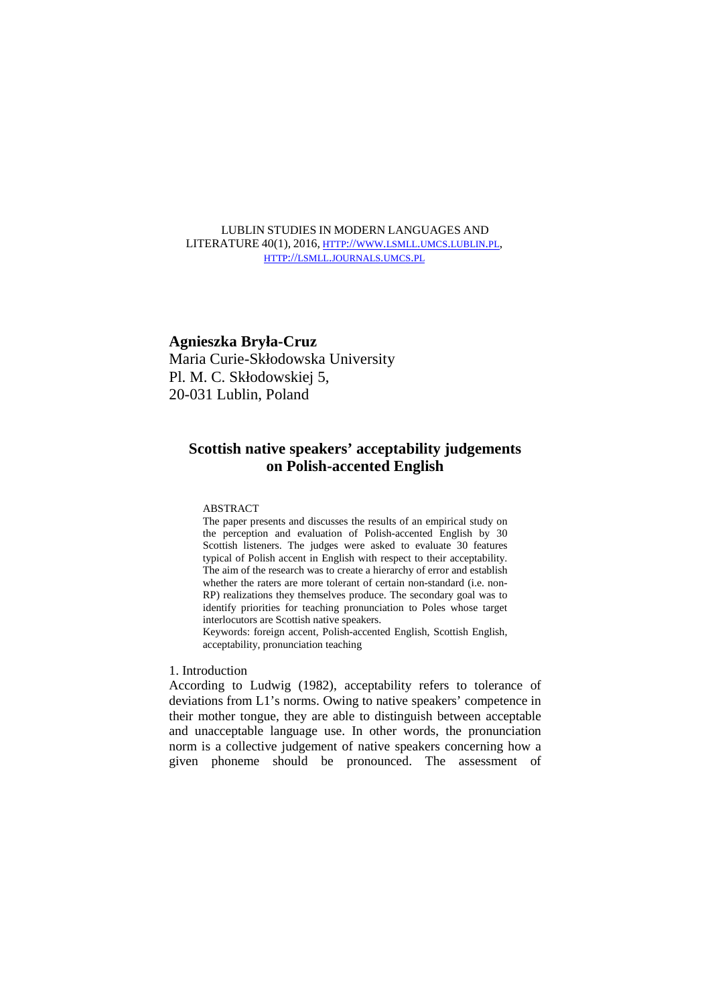## LUBLIN STUDIES IN MODERN LANGUAGES AND LITERATURE 40(1), 2016, HTTP://WWW.LSMLL.UMCS.LUBLIN.PL, HTTP://LSMLL.JOURNALS.UMCS.PL

# **Agnieszka Bryła-Cruz**

Maria Curie-Skłodowska University Pl. M. C. Skłodowskiej 5, 20-031 Lublin, Poland

# **Scottish native speakers' acceptability judgements on Polish-accented English**

## ABSTRACT

The paper presents and discusses the results of an empirical study on the perception and evaluation of Polish-accented English by 30 Scottish listeners. The judges were asked to evaluate 30 features typical of Polish accent in English with respect to their acceptability. The aim of the research was to create a hierarchy of error and establish whether the raters are more tolerant of certain non-standard (i.e. non-RP) realizations they themselves produce. The secondary goal was to identify priorities for teaching pronunciation to Poles whose target interlocutors are Scottish native speakers.

Keywords: foreign accent, Polish-accented English, Scottish English, acceptability, pronunciation teaching

# 1. Introduction

According to Ludwig (1982), acceptability refers to tolerance of deviations from L1's norms. Owing to native speakers' competence in their mother tongue, they are able to distinguish between acceptable and unacceptable language use. In other words, the pronunciation norm is a collective judgement of native speakers concerning how a given phoneme should be pronounced. The assessment of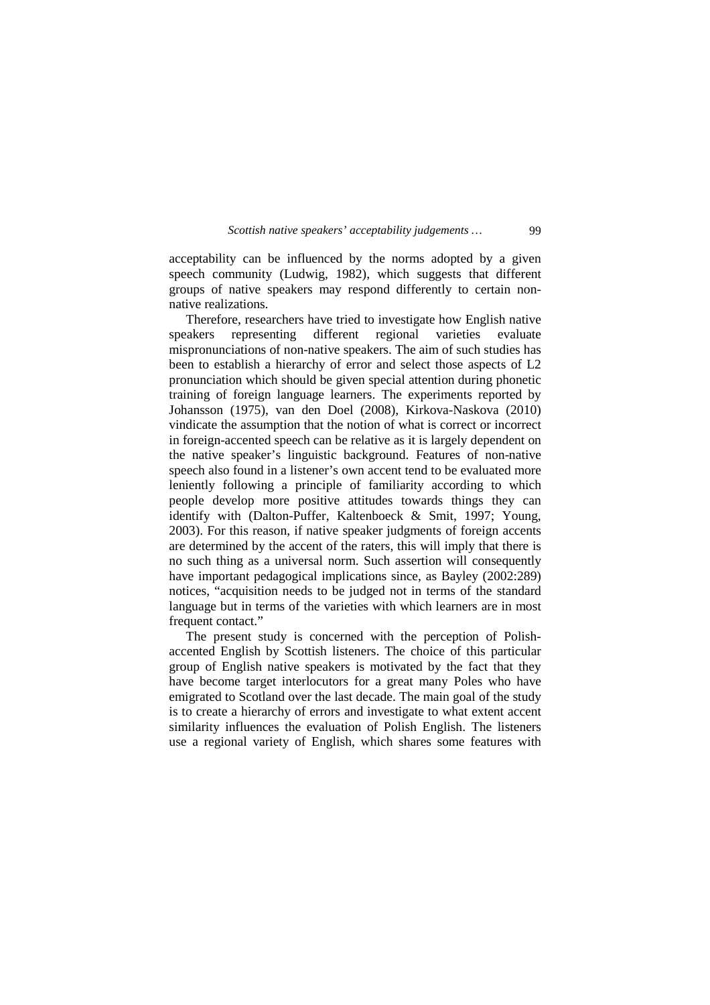acceptability can be influenced by the norms adopted by a given speech community (Ludwig, 1982), which suggests that different groups of native speakers may respond differently to certain nonnative realizations.

 Therefore, researchers have tried to investigate how English native speakers representing different regional varieties evaluate mispronunciations of non-native speakers. The aim of such studies has been to establish a hierarchy of error and select those aspects of L2 pronunciation which should be given special attention during phonetic training of foreign language learners. The experiments reported by Johansson (1975), van den Doel (2008), Kirkova-Naskova (2010) vindicate the assumption that the notion of what is correct or incorrect in foreign-accented speech can be relative as it is largely dependent on the native speaker's linguistic background. Features of non-native speech also found in a listener's own accent tend to be evaluated more leniently following a principle of familiarity according to which people develop more positive attitudes towards things they can identify with (Dalton-Puffer, Kaltenboeck & Smit, 1997; Young, 2003). For this reason, if native speaker judgments of foreign accents are determined by the accent of the raters, this will imply that there is no such thing as a universal norm. Such assertion will consequently have important pedagogical implications since, as Bayley (2002:289) notices, "acquisition needs to be judged not in terms of the standard language but in terms of the varieties with which learners are in most frequent contact."

 The present study is concerned with the perception of Polishaccented English by Scottish listeners. The choice of this particular group of English native speakers is motivated by the fact that they have become target interlocutors for a great many Poles who have emigrated to Scotland over the last decade. The main goal of the study is to create a hierarchy of errors and investigate to what extent accent similarity influences the evaluation of Polish English. The listeners use a regional variety of English, which shares some features with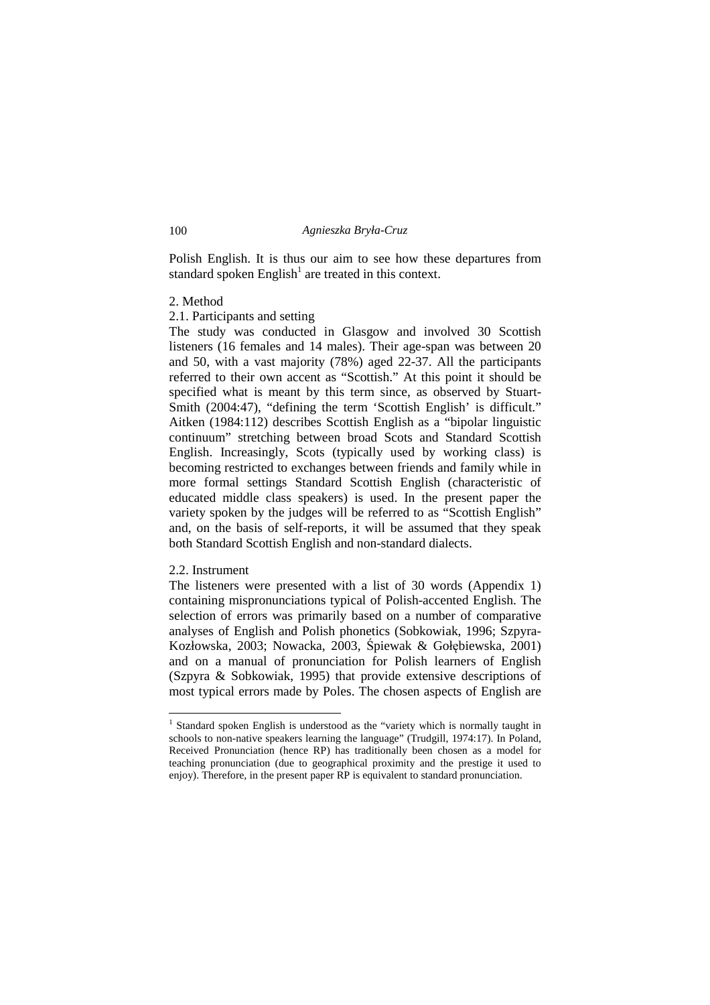Polish English. It is thus our aim to see how these departures from standard spoken  $English<sup>1</sup>$  are treated in this context.

## 2. Method

2.1. Participants and setting

The study was conducted in Glasgow and involved 30 Scottish listeners (16 females and 14 males). Their age-span was between 20 and 50, with a vast majority (78%) aged 22-37. All the participants referred to their own accent as "Scottish." At this point it should be specified what is meant by this term since, as observed by Stuart-Smith (2004:47), "defining the term 'Scottish English' is difficult." Aitken (1984:112) describes Scottish English as a "bipolar linguistic continuum" stretching between broad Scots and Standard Scottish English. Increasingly, Scots (typically used by working class) is becoming restricted to exchanges between friends and family while in more formal settings Standard Scottish English (characteristic of educated middle class speakers) is used. In the present paper the variety spoken by the judges will be referred to as "Scottish English" and, on the basis of self-reports, it will be assumed that they speak both Standard Scottish English and non-standard dialects.

## 2.2. Instrument

1

The listeners were presented with a list of 30 words (Appendix 1) containing mispronunciations typical of Polish-accented English. The selection of errors was primarily based on a number of comparative analyses of English and Polish phonetics (Sobkowiak, 1996; Szpyra-Kozłowska, 2003; Nowacka, 2003, Śpiewak & Gołębiewska, 2001) and on a manual of pronunciation for Polish learners of English (Szpyra & Sobkowiak, 1995) that provide extensive descriptions of most typical errors made by Poles. The chosen aspects of English are

<sup>&</sup>lt;sup>1</sup> Standard spoken English is understood as the "variety which is normally taught in schools to non-native speakers learning the language" (Trudgill, 1974:17). In Poland, Received Pronunciation (hence RP) has traditionally been chosen as a model for teaching pronunciation (due to geographical proximity and the prestige it used to enjoy). Therefore, in the present paper RP is equivalent to standard pronunciation.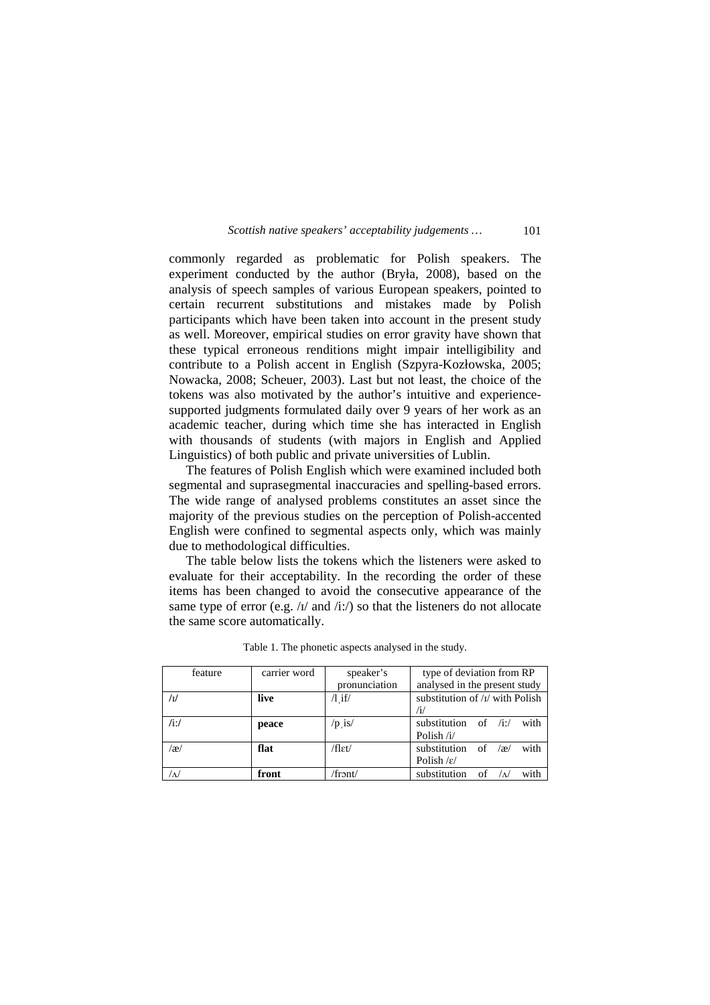commonly regarded as problematic for Polish speakers. The experiment conducted by the author (Bryła, 2008), based on the analysis of speech samples of various European speakers, pointed to certain recurrent substitutions and mistakes made by Polish participants which have been taken into account in the present study as well. Moreover, empirical studies on error gravity have shown that these typical erroneous renditions might impair intelligibility and contribute to a Polish accent in English (Szpyra-Kozłowska, 2005; Nowacka, 2008; Scheuer, 2003). Last but not least, the choice of the tokens was also motivated by the author's intuitive and experiencesupported judgments formulated daily over 9 years of her work as an academic teacher, during which time she has interacted in English with thousands of students (with majors in English and Applied Linguistics) of both public and private universities of Lublin.

 The features of Polish English which were examined included both segmental and suprasegmental inaccuracies and spelling-based errors. The wide range of analysed problems constitutes an asset since the majority of the previous studies on the perception of Polish-accented English were confined to segmental aspects only, which was mainly due to methodological difficulties.

 The table below lists the tokens which the listeners were asked to evaluate for their acceptability. In the recording the order of these items has been changed to avoid the consecutive appearance of the same type of error (e.g.  $/t$  and  $/t$ :/) so that the listeners do not allocate the same score automatically.

| feature  | carrier word | speaker's     | type of deviation from RP                 |  |
|----------|--------------|---------------|-------------------------------------------|--|
|          |              | pronunciation | analysed in the present study             |  |
| /ı/      | live         | $\Lambda$ if/ | substitution of $\frac{1}{v}$ with Polish |  |
|          |              |               | /i/                                       |  |
| $/ii$ :/ | peace        | $/p$ is/      | substitution of $/i$ :/<br>with           |  |
|          |              |               | Polish $/i$                               |  |
| /æ/      | flat         | /flɛt/        | substitution of $\alpha$<br>with          |  |
|          |              |               | Polish $\frac{\varepsilon}{\varepsilon}$  |  |
| $\Delta$ | front        | /front/       | substitution of<br>with                   |  |

Table 1. The phonetic aspects analysed in the study.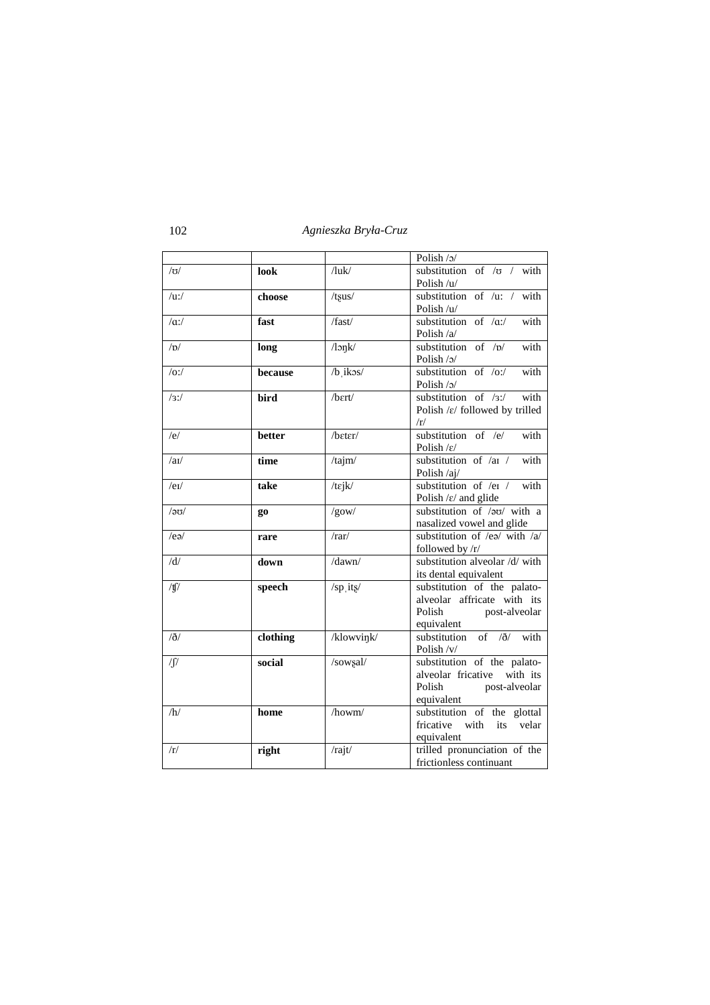|                   |          |                    | Polish /ɔ/                                                                                             |  |
|-------------------|----------|--------------------|--------------------------------------------------------------------------------------------------------|--|
| $/\sigma$         | look     | $/$ luk $/$        | substitution of $/\sigma$ / with<br>Polish /u/                                                         |  |
| $/u$ :/           | choose   | $/t$ sus $\sqrt{}$ | substitution of /u: / with<br>Polish /u/                                                               |  |
| $\alpha$ :/       | fast     | /fast/             | substitution of $\alpha$ :/<br>with<br>Polish /a/                                                      |  |
| /D/               | long     | $\sqrt{2n}$        | substitution of $/p/$<br>with<br>Polish $/2/$                                                          |  |
| $\overline{O}$ :/ | because  | $/b$ ikos/         | substitution of $\overline{O}$ :/<br>with<br>Polish $/2/$                                              |  |
| /3:               | bird     | $/b$ ert/          | substitution of $/3$ :/<br>with<br>Polish / $\varepsilon$ / followed by trilled<br>/r/                 |  |
| /e/               | better   | /bɛtɛr/            | substitution of $/e$<br>with<br>Polish $\frac{\varepsilon}{\varepsilon}$                               |  |
| /au/              | time     | /tajm/             | substitution of /a1 /<br>with<br>Polish /aj/                                                           |  |
| /el/              | take     | /tejk/             | substitution of /eɪ /<br>with<br>Polish / $\varepsilon$ / and glide                                    |  |
| /၁၀/              | go       | /gow/              | substitution of /ao/ with a<br>nasalized vowel and glide                                               |  |
| /ea/              | rare     | /rar/              | substitution of /ea/ with $/a/$<br>followed by $/r/$                                                   |  |
| /d/               | down     | /dawn/             | substitution alveolar /d/ with<br>its dental equivalent                                                |  |
| /ff               | speech   | /sp its/           | substitution of the palato-<br>alveolar affricate with its<br>Polish<br>post-alveolar<br>equivalent    |  |
| $\delta/$         | clothing | /klowvink/         | substitution of $\partial$ with<br>Polish /v/                                                          |  |
| $\int$            | social   | /sowsal/           | substitution of the palato-<br>alveolar fricative<br>with its<br>Polish<br>post-alveolar<br>equivalent |  |
| /h/               | home     | /howm/             | substitution of the glottal<br>fricative<br>with<br>its<br>velar<br>equivalent                         |  |
| /r/               | right    | /rajt/             | trilled pronunciation of the<br>frictionless continuant                                                |  |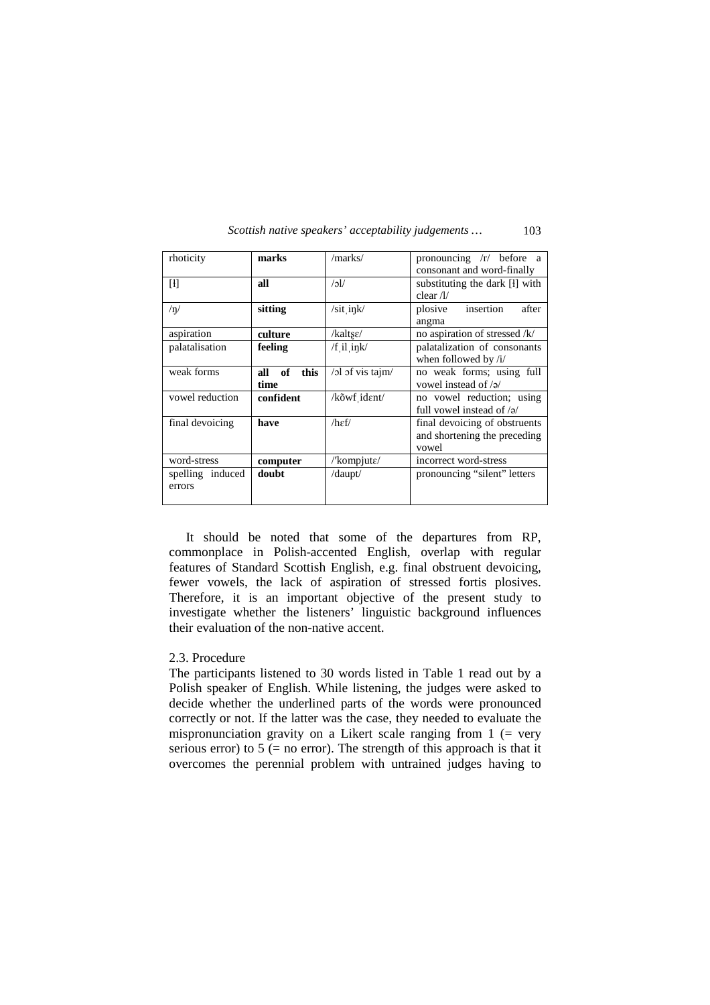| Scottish native speakers' acceptability judgements | 103 |
|----------------------------------------------------|-----|
|----------------------------------------------------|-----|

| rhoticity               | marks             | /marks/                   | pronouncing $/r/$ before a       |  |  |
|-------------------------|-------------------|---------------------------|----------------------------------|--|--|
|                         |                   |                           | consonant and word-finally       |  |  |
| H                       | all               | $\sqrt{c}$                | substituting the dark [1] with   |  |  |
|                         |                   |                           | clear $/l/$                      |  |  |
| /n/                     | sitting           | /sit_ink/                 | insertion<br>plosive<br>after    |  |  |
|                         |                   |                           | angma                            |  |  |
| aspiration              | culture           | /kaltse/                  | no aspiration of stressed /k/    |  |  |
| palatalisation          | feeling           | $/f$ il ink/              | palatalization of consonants     |  |  |
|                         |                   |                           | when followed by $/i/$           |  |  |
| weak forms              | this<br>of<br>all | /ol of vis tajm/          | no weak forms; using full        |  |  |
|                         | time              |                           | vowel instead of $\sqrt{2}$      |  |  |
| vowel reduction         | confident         | /kõwf ident/              | no vowel reduction; using        |  |  |
|                         |                   |                           | full vowel instead of $\sqrt{2}$ |  |  |
| final devoicing<br>have |                   | $/h$ $\epsilon$ f/        | final devoicing of obstruents    |  |  |
|                         |                   |                           | and shortening the preceding     |  |  |
|                         |                   |                           | vowel                            |  |  |
| word-stress             | computer          | /'kompjut $\varepsilon$ / | incorrect word-stress            |  |  |
| spelling induced        | doubt             |                           | pronouncing "silent" letters     |  |  |
| errors                  |                   |                           |                                  |  |  |
|                         |                   |                           |                                  |  |  |

 It should be noted that some of the departures from RP, commonplace in Polish-accented English, overlap with regular features of Standard Scottish English, e.g. final obstruent devoicing, fewer vowels, the lack of aspiration of stressed fortis plosives. Therefore, it is an important objective of the present study to investigate whether the listeners' linguistic background influences their evaluation of the non-native accent.

## 2.3. Procedure

The participants listened to 30 words listed in Table 1 read out by a Polish speaker of English. While listening, the judges were asked to decide whether the underlined parts of the words were pronounced correctly or not. If the latter was the case, they needed to evaluate the mispronunciation gravity on a Likert scale ranging from  $1$  (= very serious error) to  $5$  (= no error). The strength of this approach is that it overcomes the perennial problem with untrained judges having to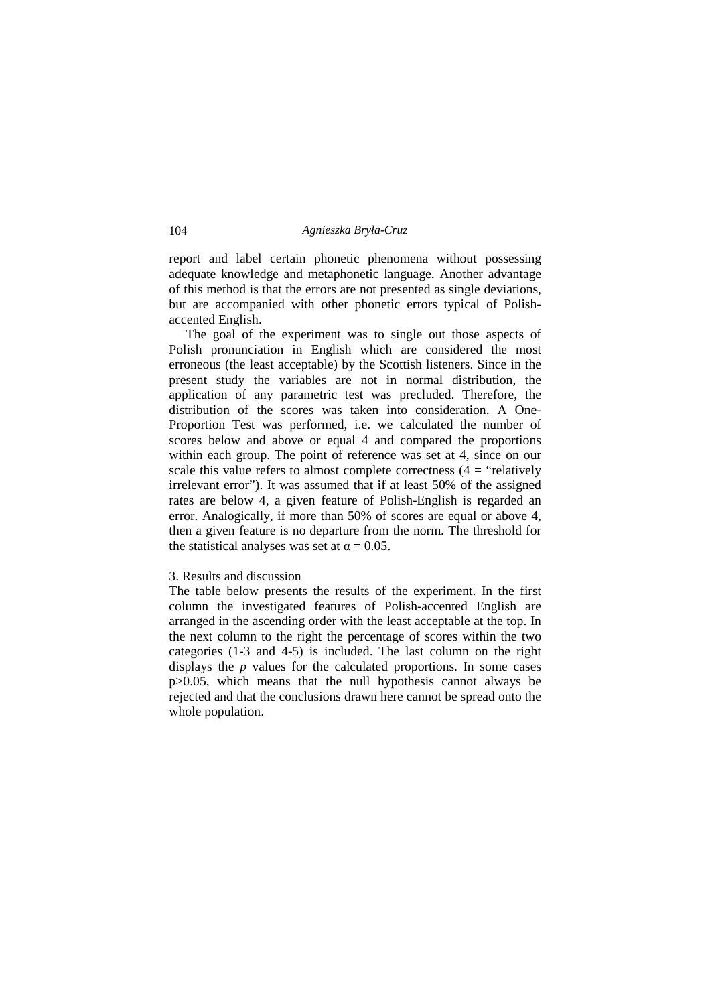report and label certain phonetic phenomena without possessing adequate knowledge and metaphonetic language. Another advantage of this method is that the errors are not presented as single deviations, but are accompanied with other phonetic errors typical of Polishaccented English.

 The goal of the experiment was to single out those aspects of Polish pronunciation in English which are considered the most erroneous (the least acceptable) by the Scottish listeners. Since in the present study the variables are not in normal distribution, the application of any parametric test was precluded. Therefore, the distribution of the scores was taken into consideration. A One-Proportion Test was performed, i.e. we calculated the number of scores below and above or equal 4 and compared the proportions within each group. The point of reference was set at 4, since on our scale this value refers to almost complete correctness  $(4 = "relatively$ irrelevant error"). It was assumed that if at least 50% of the assigned rates are below 4, a given feature of Polish-English is regarded an error. Analogically, if more than 50% of scores are equal or above 4, then a given feature is no departure from the norm. The threshold for the statistical analyses was set at  $\alpha = 0.05$ .

## 3. Results and discussion

The table below presents the results of the experiment. In the first column the investigated features of Polish-accented English are arranged in the ascending order with the least acceptable at the top. In the next column to the right the percentage of scores within the two categories (1-3 and 4-5) is included. The last column on the right displays the *p* values for the calculated proportions. In some cases p>0.05, which means that the null hypothesis cannot always be rejected and that the conclusions drawn here cannot be spread onto the whole population.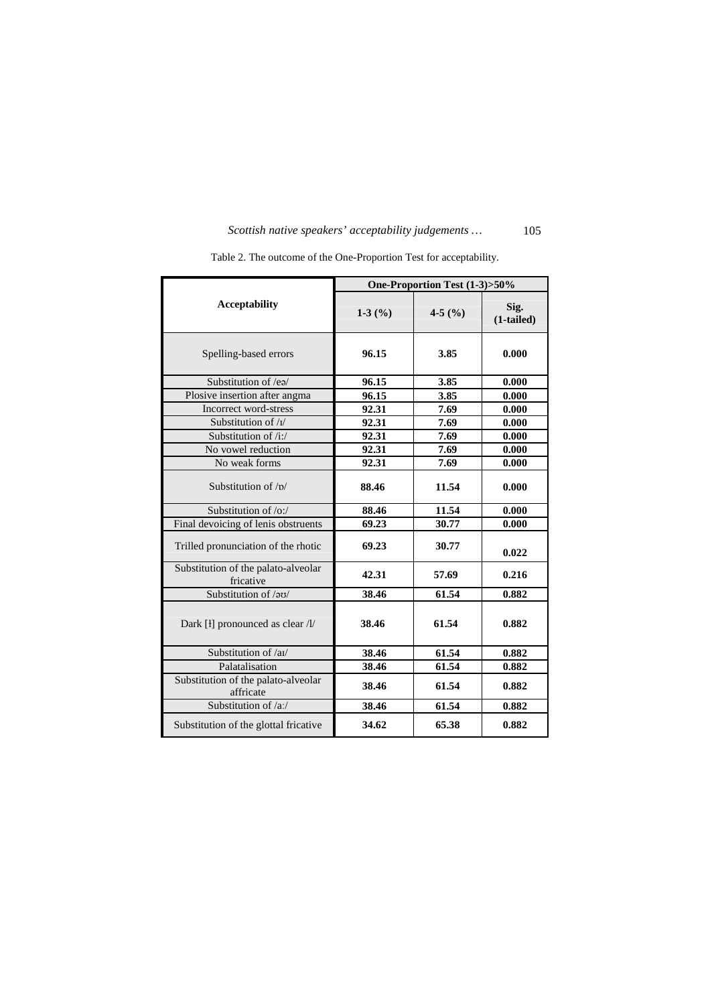|                                                  | One-Proportion Test (1-3)>50% |          |                    |
|--------------------------------------------------|-------------------------------|----------|--------------------|
| <b>Acceptability</b>                             | $1-3$ (%)                     | 4-5 $(%$ | Sig.<br>(1-tailed) |
| Spelling-based errors                            | 96.15                         | 3.85     | 0.000              |
| Substitution of /ea/                             | 96.15                         | 3.85     | 0.000              |
| Plosive insertion after angma                    | 96.15                         | 3.85     | 0.000              |
| Incorrect word-stress                            | 92.31                         | 7.69     | 0.000              |
| Substitution of /I/                              | 92.31                         | 7.69     | 0.000              |
| Substitution of $/i$ :/                          | 92.31                         | 7.69     | 0.000              |
| No vowel reduction                               | 92.31                         | 7.69     | 0.000              |
| No weak forms                                    | 92.31                         | 7.69     | 0.000              |
| Substitution of $/n/$                            | 88.46                         | 11.54    | 0.000              |
| Substitution of $\alpha$ :                       | 88.46                         | 11.54    | 0.000              |
| Final devoicing of lenis obstruents              | 69.23                         | 30.77    | 0.000              |
| Trilled pronunciation of the rhotic              | 69.23                         | 30.77    | 0.022              |
| Substitution of the palato-alveolar<br>fricative | 42.31                         | 57.69    | 0.216              |
| Substitution of /20/                             | 38.46                         | 61.54    | 0.882              |
| Dark [ł] pronounced as clear /l/                 | 38.46                         | 61.54    | 0.882              |
| Substitution of /al/                             | 38.46                         | 61.54    | 0.882              |
| Palatalisation                                   | 38.46                         | 61.54    | 0.882              |
| Substitution of the palato-alveolar<br>affricate | 38.46                         | 61.54    | 0.882              |
| Substitution of /a:/                             | 38.46                         | 61.54    | 0.882              |
| Substitution of the glottal fricative            | 34.62                         | 65.38    | 0.882              |

Table 2. The outcome of the One-Proportion Test for acceptability.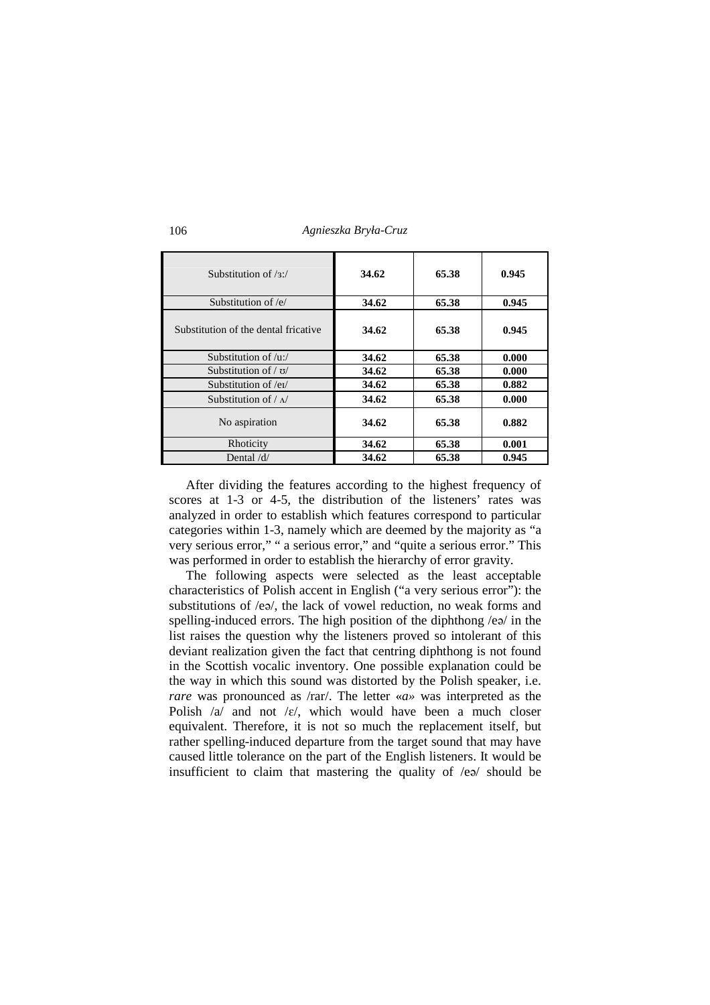106 *Agnieszka Bryła-Cruz* 

| Substitution of $\sqrt{3}$ .         | 34.62 | 65.38 | 0.945 |
|--------------------------------------|-------|-------|-------|
| Substitution of /e/                  | 34.62 | 65.38 | 0.945 |
| Substitution of the dental fricative | 34.62 | 65.38 | 0.945 |
| Substitution of $/u$ :/              | 34.62 | 65.38 | 0.000 |
| Substitution of $/ \sigma /$         | 34.62 | 65.38 | 0.000 |
| Substitution of /ei/                 | 34.62 | 65.38 | 0.882 |
| Substitution of $/\sqrt{ }$          | 34.62 | 65.38 | 0.000 |
| No aspiration                        | 34.62 | 65.38 | 0.882 |
| Rhoticity                            | 34.62 | 65.38 | 0.001 |
| Dental $\frac{d}{dx}$                | 34.62 | 65.38 | 0.945 |

 After dividing the features according to the highest frequency of scores at 1-3 or 4-5, the distribution of the listeners' rates was analyzed in order to establish which features correspond to particular categories within 1-3, namely which are deemed by the majority as "a very serious error," " a serious error," and "quite a serious error." This was performed in order to establish the hierarchy of error gravity.

 The following aspects were selected as the least acceptable characteristics of Polish accent in English ("a very serious error"): the substitutions of /eə/, the lack of vowel reduction, no weak forms and spelling-induced errors. The high position of the diphthong /eə/ in the list raises the question why the listeners proved so intolerant of this deviant realization given the fact that centring diphthong is not found in the Scottish vocalic inventory. One possible explanation could be the way in which this sound was distorted by the Polish speaker, i.e. *rare* was pronounced as /rar/. The letter «*a*» was interpreted as the Polish  $\alpha$  and not  $\epsilon$ , which would have been a much closer equivalent. Therefore, it is not so much the replacement itself, but rather spelling-induced departure from the target sound that may have caused little tolerance on the part of the English listeners. It would be insufficient to claim that mastering the quality of /eə/ should be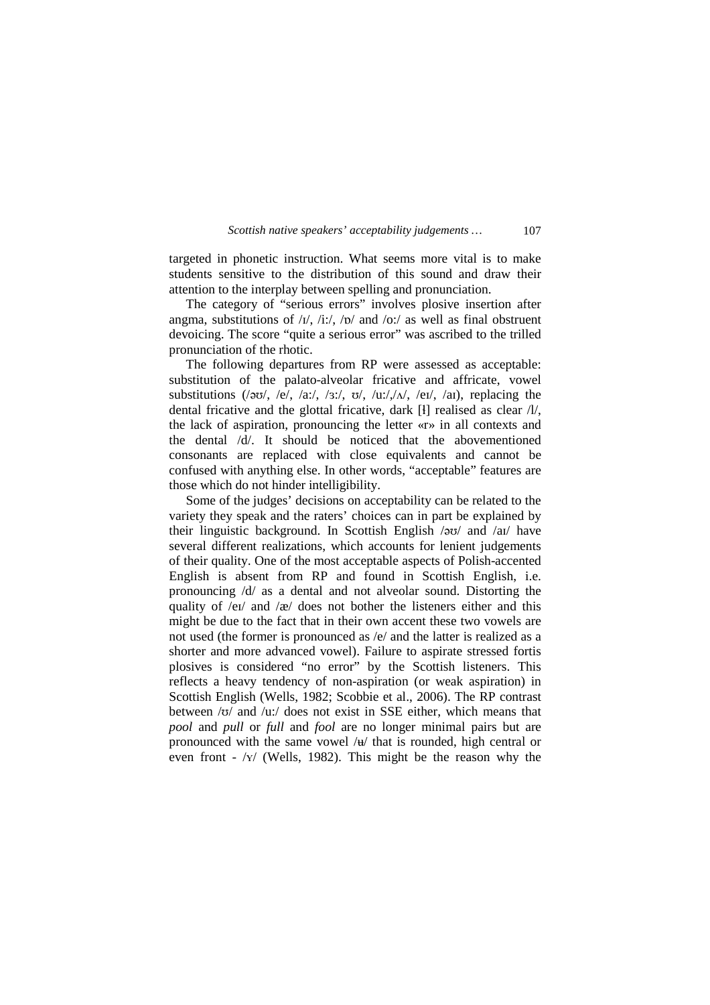targeted in phonetic instruction. What seems more vital is to make students sensitive to the distribution of this sound and draw their attention to the interplay between spelling and pronunciation.

 The category of "serious errors" involves plosive insertion after angma, substitutions of  $\frac{1}{1}$ ,  $\frac{1}{1}$ ,  $\frac{1}{\sqrt{1}}$ ,  $\frac{1}{\sqrt{1}}$  and  $\frac{1}{\sqrt{1}}$  as well as final obstruent devoicing. The score "quite a serious error" was ascribed to the trilled pronunciation of the rhotic.

 The following departures from RP were assessed as acceptable: substitution of the palato-alveolar fricative and affricate, vowel substitutions ( $\sqrt{2\pi}$ , /e/, /a:/, /3:/,  $\sigma$ /, /u:// $\sqrt{N}$ , /ei/, /ai), replacing the dental fricative and the glottal fricative, dark [ɬ] realised as clear /l/, the lack of aspiration, pronouncing the letter «r» in all contexts and the dental /d/. It should be noticed that the abovementioned consonants are replaced with close equivalents and cannot be confused with anything else. In other words, "acceptable" features are those which do not hinder intelligibility.

 Some of the judges' decisions on acceptability can be related to the variety they speak and the raters' choices can in part be explained by their linguistic background. In Scottish English /əʊ/ and /aɪ/ have several different realizations, which accounts for lenient judgements of their quality. One of the most acceptable aspects of Polish-accented English is absent from RP and found in Scottish English, i.e. pronouncing /d/ as a dental and not alveolar sound. Distorting the quality of /ei/ and /æ/ does not bother the listeners either and this might be due to the fact that in their own accent these two vowels are not used (the former is pronounced as /e/ and the latter is realized as a shorter and more advanced vowel). Failure to aspirate stressed fortis plosives is considered "no error" by the Scottish listeners. This reflects a heavy tendency of non-aspiration (or weak aspiration) in Scottish English (Wells, 1982; Scobbie et al., 2006). The RP contrast between /ʊ/ and /u:/ does not exist in SSE either, which means that *pool* and *pull* or *full* and *fool* are no longer minimal pairs but are pronounced with the same vowel /ʉ/ that is rounded, high central or even front - /ʏ/ (Wells, 1982). This might be the reason why the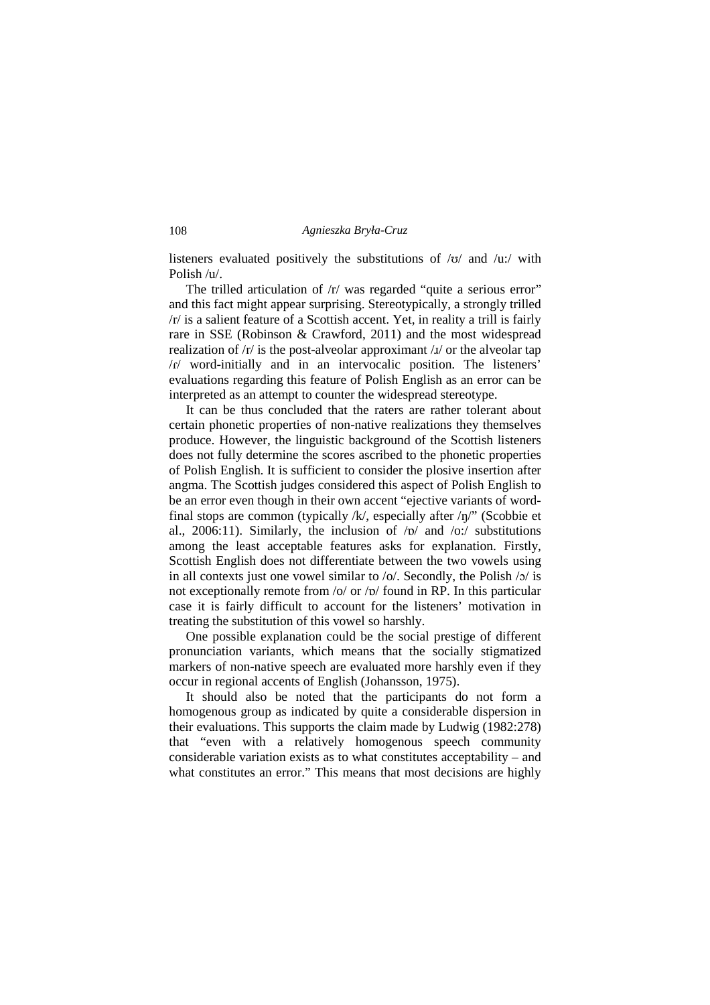listeners evaluated positively the substitutions of  $/\sigma$  and  $/\mu$ : with Polish /u/.

The trilled articulation of  $/r$  was regarded "quite a serious error" and this fact might appear surprising. Stereotypically, a strongly trilled /r/ is a salient feature of a Scottish accent. Yet, in reality a trill is fairly rare in SSE (Robinson & Crawford, 2011) and the most widespread realization of  $/r/$  is the post-alveolar approximant  $\lambda$  or the alveolar tap /ɾ/ word-initially and in an intervocalic position. The listeners' evaluations regarding this feature of Polish English as an error can be interpreted as an attempt to counter the widespread stereotype.

 It can be thus concluded that the raters are rather tolerant about certain phonetic properties of non-native realizations they themselves produce. However, the linguistic background of the Scottish listeners does not fully determine the scores ascribed to the phonetic properties of Polish English. It is sufficient to consider the plosive insertion after angma. The Scottish judges considered this aspect of Polish English to be an error even though in their own accent "ejective variants of wordfinal stops are common (typically  $/k$ , especially after  $/\eta$ " (Scobbie et al., 2006:11). Similarly, the inclusion of  $/p/$  and  $/o$ :/ substitutions among the least acceptable features asks for explanation. Firstly, Scottish English does not differentiate between the two vowels using in all contexts just one vowel similar to /o/. Secondly, the Polish /ɔ/ is not exceptionally remote from /o/ or /ɒ/ found in RP. In this particular case it is fairly difficult to account for the listeners' motivation in treating the substitution of this vowel so harshly.

 One possible explanation could be the social prestige of different pronunciation variants, which means that the socially stigmatized markers of non-native speech are evaluated more harshly even if they occur in regional accents of English (Johansson, 1975).

 It should also be noted that the participants do not form a homogenous group as indicated by quite a considerable dispersion in their evaluations. This supports the claim made by Ludwig (1982:278) that "even with a relatively homogenous speech community considerable variation exists as to what constitutes acceptability – and what constitutes an error." This means that most decisions are highly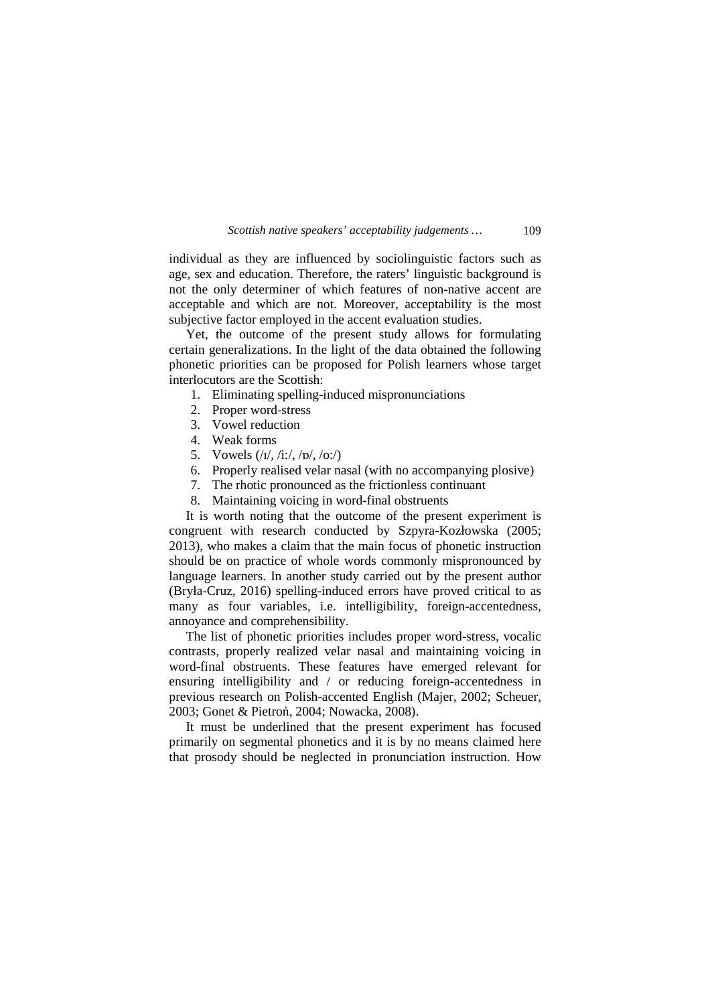individual as they are influenced by sociolinguistic factors such as age, sex and education. Therefore, the raters' linguistic background is not the only determiner of which features of non-native accent are acceptable and which are not. Moreover, acceptability is the most subjective factor employed in the accent evaluation studies.

 Yet, the outcome of the present study allows for formulating certain generalizations. In the light of the data obtained the following phonetic priorities can be proposed for Polish learners whose target interlocutors are the Scottish:

- 1. Eliminating spelling-induced mispronunciations
- 2. Proper word-stress
- 3. Vowel reduction
- 4. Weak forms
- 5. Vowels (/ɪ/, /i:/, /ɒ/, /o:/)
- 6. Properly realised velar nasal (with no accompanying plosive)
- 7. The rhotic pronounced as the frictionless continuant
- 8. Maintaining voicing in word-final obstruents

 It is worth noting that the outcome of the present experiment is congruent with research conducted by Szpyra-Kozłowska (2005; 2013), who makes a claim that the main focus of phonetic instruction should be on practice of whole words commonly mispronounced by language learners. In another study carried out by the present author (Bryła-Cruz, 2016) spelling-induced errors have proved critical to as many as four variables, i.e. intelligibility, foreign-accentedness, annoyance and comprehensibility.

 The list of phonetic priorities includes proper word-stress, vocalic contrasts, properly realized velar nasal and maintaining voicing in word-final obstruents. These features have emerged relevant for ensuring intelligibility and / or reducing foreign-accentedness in previous research on Polish-accented English (Majer, 2002; Scheuer, 2003; Gonet & Pietroń, 2004; Nowacka, 2008).

 It must be underlined that the present experiment has focused primarily on segmental phonetics and it is by no means claimed here that prosody should be neglected in pronunciation instruction. How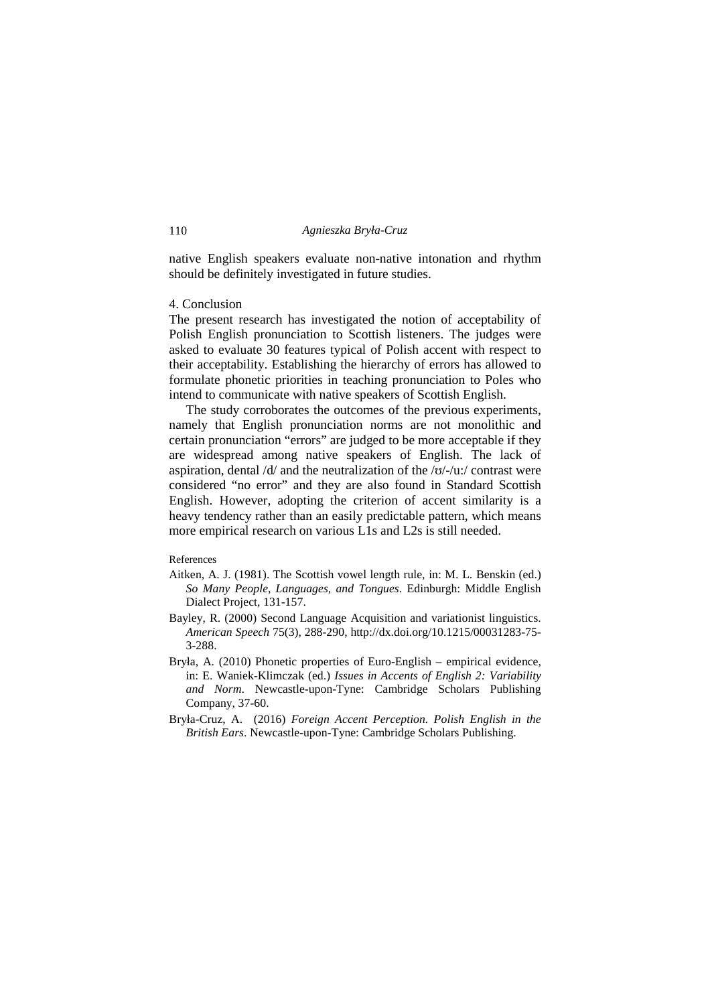native English speakers evaluate non-native intonation and rhythm should be definitely investigated in future studies.

## 4. Conclusion

The present research has investigated the notion of acceptability of Polish English pronunciation to Scottish listeners. The judges were asked to evaluate 30 features typical of Polish accent with respect to their acceptability. Establishing the hierarchy of errors has allowed to formulate phonetic priorities in teaching pronunciation to Poles who intend to communicate with native speakers of Scottish English.

 The study corroborates the outcomes of the previous experiments, namely that English pronunciation norms are not monolithic and certain pronunciation "errors" are judged to be more acceptable if they are widespread among native speakers of English. The lack of aspiration, dental  $\frac{d}{dx}$  and the neutralization of the  $\frac{dv}{dx}$  contrast were considered "no error" and they are also found in Standard Scottish English. However, adopting the criterion of accent similarity is a heavy tendency rather than an easily predictable pattern, which means more empirical research on various L1s and L2s is still needed.

#### References

- Aitken, A. J. (1981). The Scottish vowel length rule, in: M. L. Benskin (ed.) *So Many People, Languages, and Tongues*. Edinburgh: Middle English Dialect Project, 131-157.
- Bayley, R. (2000) Second Language Acquisition and variationist linguistics. *American Speech* 75(3), 288-290, http://dx.doi.org/10.1215/00031283-75- 3-288.
- Bryła, A. (2010) Phonetic properties of Euro-English empirical evidence, in: E. Waniek-Klimczak (ed.) *Issues in Accents of English 2: Variability and Norm*. Newcastle-upon-Tyne: Cambridge Scholars Publishing Company, 37-60.
- Bryła-Cruz, A. (2016) *Foreign Accent Perception. Polish English in the British Ears*. Newcastle-upon-Tyne: Cambridge Scholars Publishing.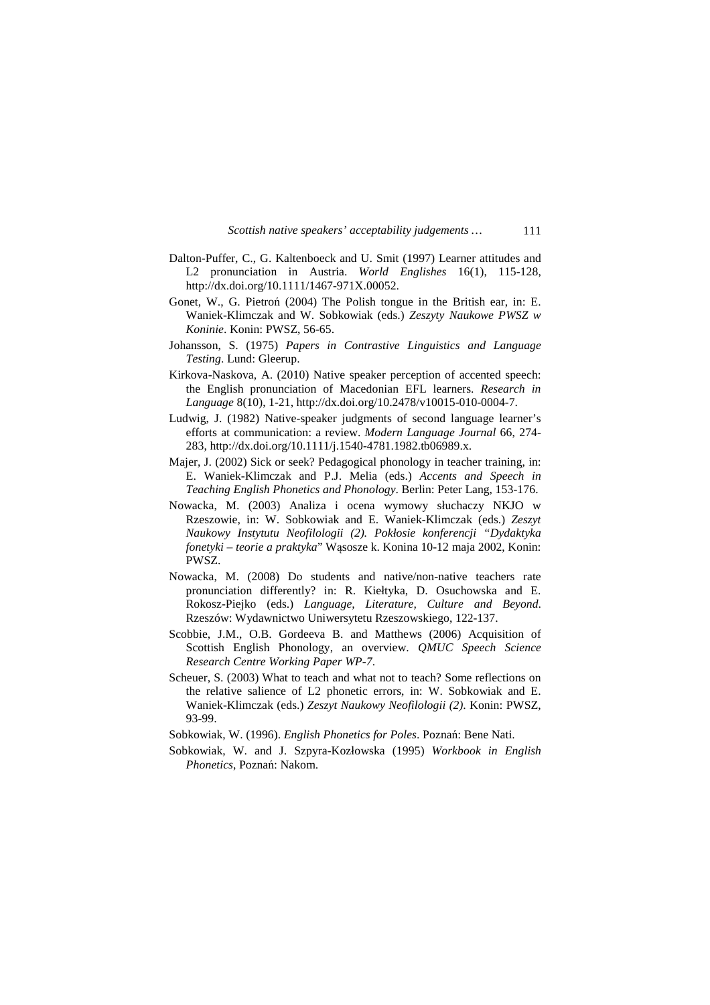*Scottish native speakers' acceptability judgements …* 111

- Dalton-Puffer, C., G. Kaltenboeck and U. Smit (1997) Learner attitudes and L2 pronunciation in Austria. *World Englishes* 16(1), 115-128, http://dx.doi.org/10.1111/1467-971X.00052.
- Gonet, W., G. Pietroń (2004) The Polish tongue in the British ear, in: E. Waniek-Klimczak and W. Sobkowiak (eds.) *Zeszyty Naukowe PWSZ w Koninie*. Konin: PWSZ, 56-65.
- Johansson, S. (1975) *Papers in Contrastive Linguistics and Language Testing*. Lund: Gleerup.
- Kirkova-Naskova, A. (2010) Native speaker perception of accented speech: the English pronunciation of Macedonian EFL learners. *Research in Language* 8(10), 1-21, http://dx.doi.org/10.2478/v10015-010-0004-7.
- Ludwig, J. (1982) Native-speaker judgments of second language learner's efforts at communication: a review. *Modern Language Journal* 66, 274- 283, http://dx.doi.org/10.1111/j.1540-4781.1982.tb06989.x.
- Majer, J. (2002) Sick or seek? Pedagogical phonology in teacher training, in: E. Waniek-Klimczak and P.J. Melia (eds.) *Accents and Speech in Teaching English Phonetics and Phonology*. Berlin: Peter Lang, 153-176.
- Nowacka, M. (2003) Analiza i ocena wymowy słuchaczy NKJO w Rzeszowie, in: W. Sobkowiak and E. Waniek-Klimczak (eds.) *Zeszyt Naukowy Instytutu Neofilologii (2). Pokłosie konferencji "Dydaktyka fonetyki – teorie a praktyka*" Wąsosze k. Konina 10-12 maja 2002, Konin: PWSZ.
- Nowacka, M. (2008) Do students and native/non-native teachers rate pronunciation differently? in: R. Kiełtyka, D. Osuchowska and E. Rokosz-Piejko (eds.) *Language, Literature, Culture and Beyond*. Rzeszów: Wydawnictwo Uniwersytetu Rzeszowskiego, 122-137.
- Scobbie, J.M., O.B. Gordeeva B. and Matthews (2006) Acquisition of Scottish English Phonology, an overview. *QMUC Speech Science Research Centre Working Paper WP-7*.
- Scheuer, S. (2003) What to teach and what not to teach? Some reflections on the relative salience of L2 phonetic errors, in: W. Sobkowiak and E. Waniek-Klimczak (eds.) *Zeszyt Naukowy Neofilologii (2)*. Konin: PWSZ, 93-99.
- Sobkowiak, W. (1996). *English Phonetics for Poles*. Poznań: Bene Nati.
- Sobkowiak, W. and J. Szpyra-Kozłowska (1995) *Workbook in English Phonetics*, Poznań: Nakom.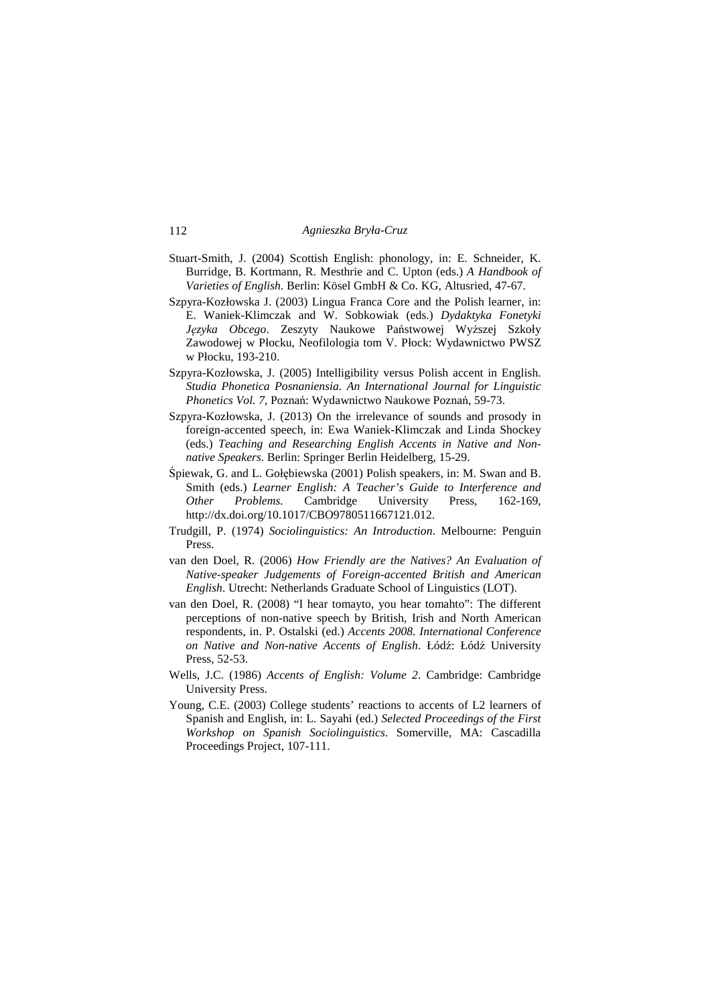- Stuart-Smith, J. (2004) Scottish English: phonology, in: E. Schneider, K. Burridge, B. Kortmann, R. Mesthrie and C. Upton (eds.) *A Handbook of Varieties of English*. Berlin: Kösel GmbH & Co. KG, Altusried, 47-67.
- Szpyra-Kozłowska J. (2003) Lingua Franca Core and the Polish learner, in: E. Waniek-Klimczak and W. Sobkowiak (eds.) *Dydaktyka Fonetyki Języka Obcego*. Zeszyty Naukowe Państwowej Wyższej Szkoły Zawodowej w Płocku, Neofilologia tom V. Płock: Wydawnictwo PWSZ w Płocku, 193-210.
- Szpyra-Kozłowska, J. (2005) Intelligibility versus Polish accent in English. *Studia Phonetica Posnaniensia. An International Journal for Linguistic Phonetics Vol. 7*, Poznań: Wydawnictwo Naukowe Poznań, 59-73.
- Szpyra-Kozłowska, J. (2013) On the irrelevance of sounds and prosody in foreign-accented speech, in: Ewa Waniek-Klimczak and Linda Shockey (eds.) *Teaching and Researching English Accents in Native and Nonnative Speakers*. Berlin: Springer Berlin Heidelberg, 15-29.
- Śpiewak, G. and L. Gołębiewska (2001) Polish speakers, in: M. Swan and B. Smith (eds.) *Learner English: A Teacher's Guide to Interference and Other Problems.* Cambridge University Press, 162-169, http://dx.doi.org/10.1017/CBO9780511667121.012.
- Trudgill, P. (1974) *Sociolinguistics: An Introduction*. Melbourne: Penguin Press.
- van den Doel, R. (2006) *How Friendly are the Natives? An Evaluation of Native-speaker Judgements of Foreign-accented British and American English*. Utrecht: Netherlands Graduate School of Linguistics (LOT).
- van den Doel, R. (2008) "I hear tomayto, you hear tomahto": The different perceptions of non-native speech by British, Irish and North American respondents, in. P. Ostalski (ed.) *Accents 2008. International Conference on Native and Non-native Accents of English*. Łódź: Łódź University Press, 52-53.
- Wells, J.C. (1986) *Accents of English: Volume 2*. Cambridge: Cambridge University Press.
- Young, C.E. (2003) College students' reactions to accents of L2 learners of Spanish and English, in: L. Sayahi (ed.) *Selected Proceedings of the First Workshop on Spanish Sociolinguistics*. Somerville, MA: Cascadilla Proceedings Project, 107-111.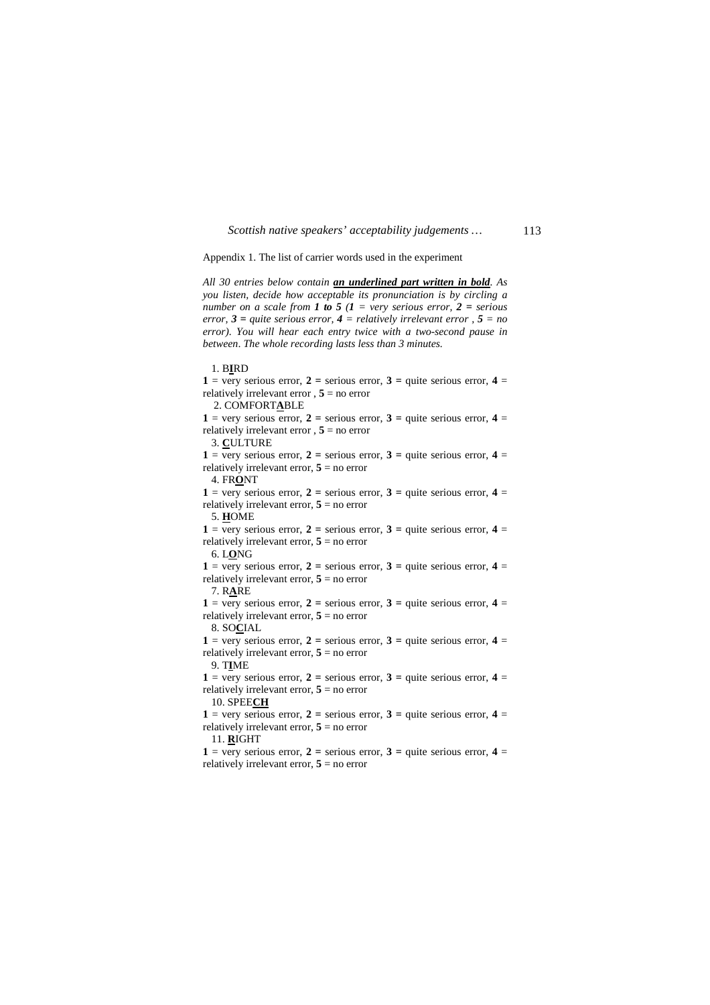Appendix 1. The list of carrier words used in the experiment

*All 30 entries below contain an underlined part written in bold. As you listen, decide how acceptable its pronunciation is by circling a number on a scale from 1 to 5 (1 = very serious error, 2 = serious error, 3 = quite serious error, 4 = relatively irrelevant error , 5 = no error). You will hear each entry twice with a two-second pause in between*. *The whole recording lasts less than 3 minutes.* 

 1. B**I**RD  $1 = \text{very serious error}, 2 = \text{ serious error}, 3 = \text{quite serious error}, 4 = \text{...}$ relatively irrelevant error  $, 5 =$  no error 2. COMFORT**A**BLE 1 = very serious error, 2 = serious error, 3 = quite serious error,  $4 =$ relatively irrelevant error , **5** = no error 3. **C**ULTURE 1 = very serious error, 2 = serious error, 3 = quite serious error,  $4 =$ relatively irrelevant error, **5** = no error 4. FR**O**NT 1 = very serious error, 2 = serious error, 3 = quite serious error,  $4 =$ relatively irrelevant error,  $5 =$  no error 5. **H**OME 1 = very serious error, 2 = serious error, 3 = quite serious error, 4 = relatively irrelevant error,  $5 =$  no error 6. L**O**NG 1 = very serious error, 2 = serious error, 3 = quite serious error,  $4 =$ relatively irrelevant error,  $5 = no$  error 7. R**A**RE  $1 = \text{very serious error}, 2 = \text{ serious error}, 3 = \text{quite serious error}, 4 = \text{http://www.e., if you're more than the same time.}$ relatively irrelevant error,  $5 = no$  error 8. SO**C**IAL **1** = very serious error, **2** = serious error, **3** = quite serious error, **4** = relatively irrelevant error,  $5 =$  no error 9. T**I**ME 1 = very serious error, 2 = serious error, 3 = quite serious error,  $4 =$ relatively irrelevant error,  $5 =$  no error 10. SPEE**CH** 1 = very serious error, 2 = serious error, 3 = quite serious error, 4 = relatively irrelevant error,  $5 =$  no error 11. **R**IGHT **1** = very serious error, **2** = serious error, **3** = quite serious error, **4** = relatively irrelevant error,  $5 = no$  error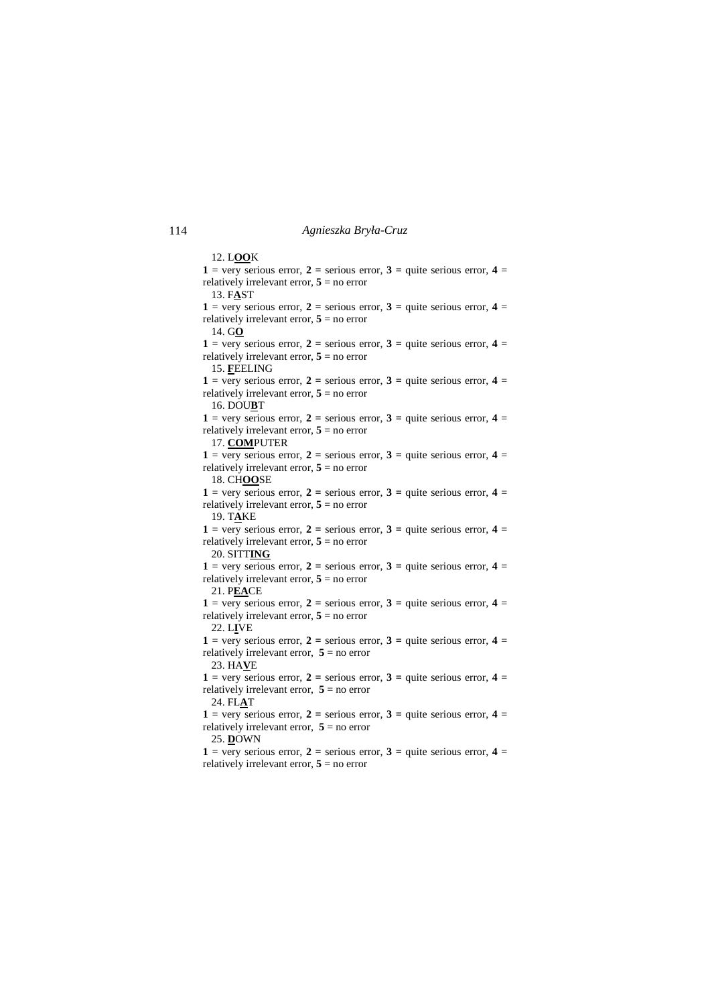12. L**OO**K **1** = very serious error, **2** = serious error, **3** = quite serious error, **4** = relatively irrelevant error,  $5 =$  no error 13. F**A**ST  $1 = \text{very serious error}, 2 = \text{ serious error}, 3 = \text{quite serious error}, 4 = \text{...}$ relatively irrelevant error, **5** = no error 14. G**O** 1 = very serious error, 2 = serious error, 3 = quite serious error,  $4 =$ relatively irrelevant error, **5** = no error 15. **F**EELING  $1 = \text{very serious error}, 2 = \text{ serious error}, 3 = \text{quite serious error}, 4 = \text{...}$ relatively irrelevant error,  $5 = no$  error 16. DOU**B**T 1 = very serious error, 2 = serious error, 3 = quite serious error,  $4 =$ relatively irrelevant error,  $5 = no$  error 17. **COM**PUTER 1 = very serious error, 2 = serious error, 3 = quite serious error,  $4 =$ relatively irrelevant error,  $5 =$  no error 18. CH**OO**SE 1 = very serious error, 2 = serious error, 3 = quite serious error,  $4 =$ relatively irrelevant error, **5** = no error 19. T**A**KE  $1 = \text{very}$  serious error,  $2 = \text{series}$  error,  $3 = \text{quite}$  serious error,  $4 = \text{series}$ relatively irrelevant error,  $5 =$  no error 20. SITT**ING** 1 = very serious error, 2 = serious error, 3 = quite serious error,  $4 =$ relatively irrelevant error,  $5 = no$  error 21. P**EA**CE 1 = very serious error, 2 = serious error, 3 = quite serious error, 4 = relatively irrelevant error,  $5 = no$  error 22. L**I**VE **1** = very serious error, **2** = serious error, **3** = quite serious error, **4** = relatively irrelevant error,  $5 = no$  error 23. HA**V**E 1 = very serious error, 2 = serious error, 3 = quite serious error,  $4 =$ relatively irrelevant error,  $5 =$  no error 24. FL**A**T 1 = very serious error, 2 = serious error, 3 = quite serious error, 4 = relatively irrelevant error,  $5 =$  no error 25. **D**OWN **1** = very serious error, **2** = serious error, **3** = quite serious error, **4** = relatively irrelevant error,  $5 = no$  error